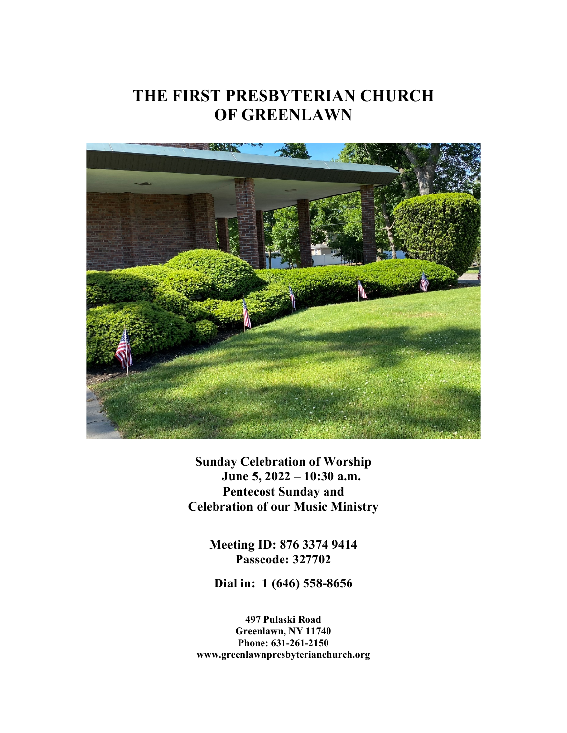# **THE FIRST PRESBYTERIAN CHURCH OF GREENLAWN**



**Sunday Celebration of Worship June 5, 2022 – 10:30 a.m. Pentecost Sunday and Celebration of our Music Ministry**

> **Meeting ID: 876 3374 9414 Passcode: 327702**

**Dial in: 1 (646) 558-8656**

**497 Pulaski Road Greenlawn, NY 11740 Phone: 631-261-2150 www.greenlawnpresbyterianchurch.org**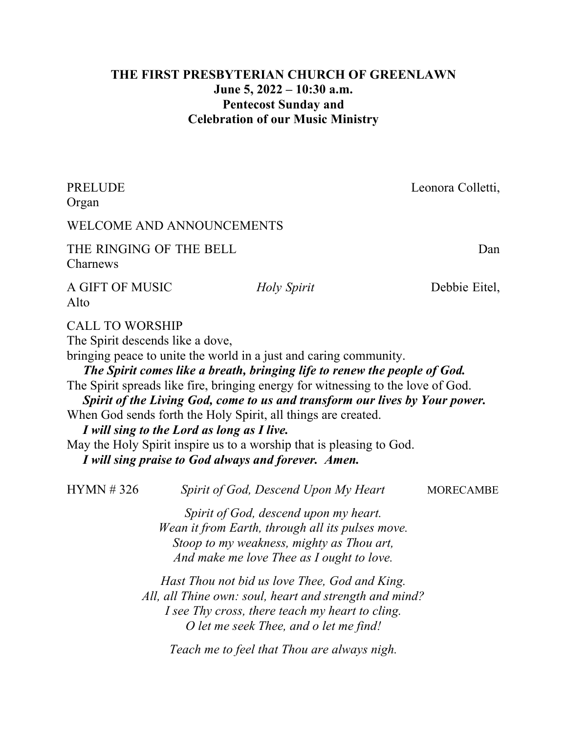# **THE FIRST PRESBYTERIAN CHURCH OF GREENLAWN June 5, 2022 – 10:30 a.m. Pentecost Sunday and Celebration of our Music Ministry**

| <b>PRELUDE</b><br>Organ             |                                            |                                                                                                                                                                                                                                                                                                                                                                                                                                                                                                                   | Leonora Colletti, |
|-------------------------------------|--------------------------------------------|-------------------------------------------------------------------------------------------------------------------------------------------------------------------------------------------------------------------------------------------------------------------------------------------------------------------------------------------------------------------------------------------------------------------------------------------------------------------------------------------------------------------|-------------------|
| WELCOME AND ANNOUNCEMENTS           |                                            |                                                                                                                                                                                                                                                                                                                                                                                                                                                                                                                   |                   |
| THE RINGING OF THE BELL<br>Charnews |                                            |                                                                                                                                                                                                                                                                                                                                                                                                                                                                                                                   | Dan               |
| A GIFT OF MUSIC<br>Alto             |                                            | Holy Spirit                                                                                                                                                                                                                                                                                                                                                                                                                                                                                                       | Debbie Eitel,     |
| The Spirit descends like a dove,    | I will sing to the Lord as long as I live. | bringing peace to unite the world in a just and caring community.<br>The Spirit comes like a breath, bringing life to renew the people of God.<br>The Spirit spreads like fire, bringing energy for witnessing to the love of God.<br>Spirit of the Living God, come to us and transform our lives by Your power.<br>When God sends forth the Holy Spirit, all things are created.<br>May the Holy Spirit inspire us to a worship that is pleasing to God.<br>I will sing praise to God always and forever. Amen. |                   |
| HYMN #326                           |                                            | Spirit of God, Descend Upon My Heart                                                                                                                                                                                                                                                                                                                                                                                                                                                                              | <b>MORECAMBE</b>  |
|                                     |                                            | Spirit of God, descend upon my heart.<br>Wean it from Earth, through all its pulses move.<br>Stoop to my weakness, mighty as Thou art,<br>And make me love Thee as I ought to love.                                                                                                                                                                                                                                                                                                                               |                   |
|                                     |                                            | Hast Thou not bid us love Thee, God and King.<br>All, all Thine own: soul, heart and strength and mind?<br>I see Thy cross, there teach my heart to cling.<br>O let me seek Thee, and o let me find!<br>Teach me to feel that Thou are always nigh.                                                                                                                                                                                                                                                               |                   |
|                                     |                                            |                                                                                                                                                                                                                                                                                                                                                                                                                                                                                                                   |                   |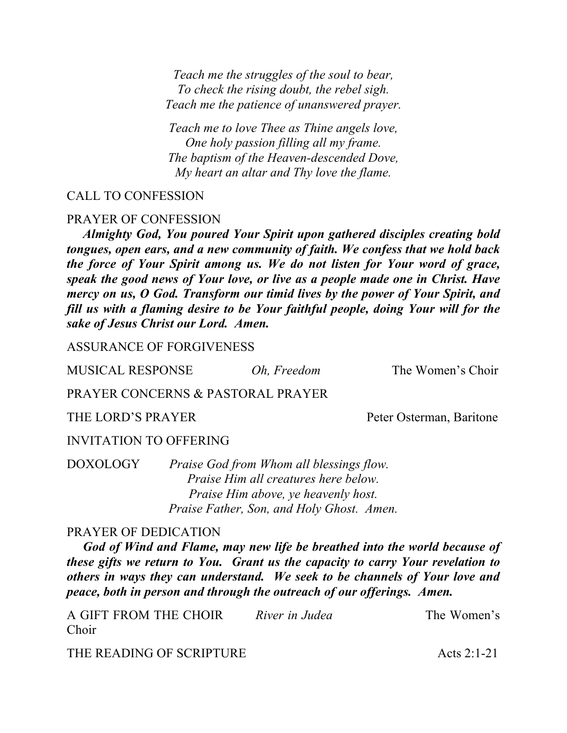*Teach me the struggles of the soul to bear, To check the rising doubt, the rebel sigh. Teach me the patience of unanswered prayer.*

*Teach me to love Thee as Thine angels love, One holy passion filling all my frame. The baptism of the Heaven-descended Dove, My heart an altar and Thy love the flame.*

### CALL TO CONFESSION

#### PRAYER OF CONFESSION

 *Almighty God, You poured Your Spirit upon gathered disciples creating bold tongues, open ears, and a new community of faith. We confess that we hold back the force of Your Spirit among us. We do not listen for Your word of grace, speak the good news of Your love, or live as a people made one in Christ. Have mercy on us, O God. Transform our timid lives by the power of Your Spirit, and fill us with a flaming desire to be Your faithful people, doing Your will for the sake of Jesus Christ our Lord. Amen.*

ASSURANCE OF FORGIVENESS

MUSICAL RESPONSE *Oh, Freedom* The Women's Choir

### PRAYER CONCERNS & PASTORAL PRAYER

THE LORD'S PRAYER Peter Osterman, Baritone

#### INVITATION TO OFFERING

DOXOLOGY *Praise God from Whom all blessings flow. Praise Him all creatures here below. Praise Him above, ye heavenly host. Praise Father, Son, and Holy Ghost. Amen.*

#### PRAYER OF DEDICATION

 *God of Wind and Flame, may new life be breathed into the world because of these gifts we return to You. Grant us the capacity to carry Your revelation to others in ways they can understand. We seek to be channels of Your love and peace, both in person and through the outreach of our offerings. Amen.* 

| A GIFT FROM THE CHOIR | River in Judea | The Women's |
|-----------------------|----------------|-------------|
| Choir                 |                |             |

THE READING OF SCRIPTURE Acts 2:1-21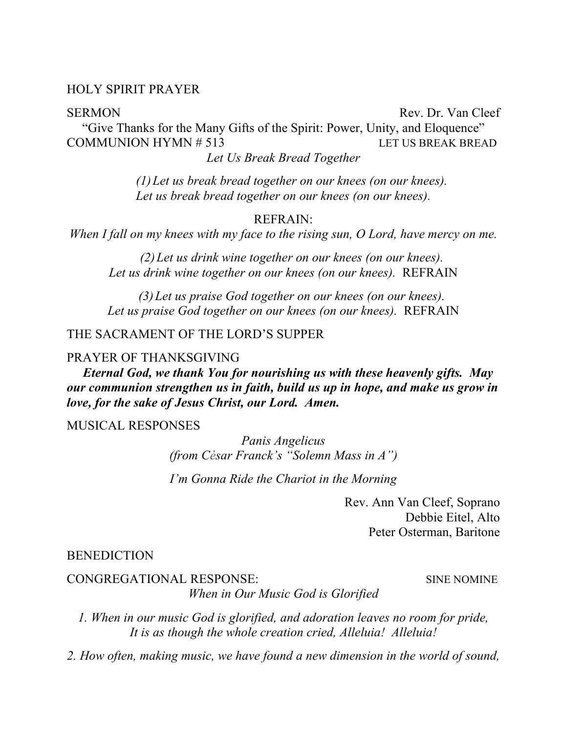#### HOLY SPIRIT PRAYER

SERMON Rev. Dr. Van Cleef "Give Thanks for the Many Gifts of the Spirit: Power, Unity, and Eloquence" COMMUNION HYMN # 513 LET US BREAK BREAD *Let Us Break Bread Together*

*(1)Let us break bread together on our knees (on our knees). Let us break bread together on our knees (on our knees).*

#### REFRAIN:

*When I fall on my knees with my face to the rising sun, O Lord, have mercy on me.*

*(2)Let us drink wine together on our knees (on our knees). Let us drink wine together on our knees (on our knees).* REFRAIN

*(3)Let us praise God together on our knees (on our knees). Let us praise God together on our knees (on our knees).* REFRAIN

#### THE SACRAMENT OF THE LORD'S SUPPER

#### PRAYER OF THANKSGIVING

 *Eternal God, we thank You for nourishing us with these heavenly gifts. May our communion strengthen us in faith, build us up in hope, and make us grow in love, for the sake of Jesus Christ, our Lord. Amen.* 

#### MUSICAL RESPONSES

*Panis Angelicus (from César Franck's "Solemn Mass in A")*

*I'm Gonna Ride the Chariot in the Morning*

Rev. Ann Van Cleef, Soprano Debbie Eitel, Alto Peter Osterman, Baritone

#### **BENEDICTION**

#### CONGREGATIONAL RESPONSE: SINE NOMINE

*When in Our Music God is Glorified*

*1. When in our music God is glorified, and adoration leaves no room for pride, It is as though the whole creation cried, Alleluia! Alleluia!*

*2. How often, making music, we have found a new dimension in the world of sound,*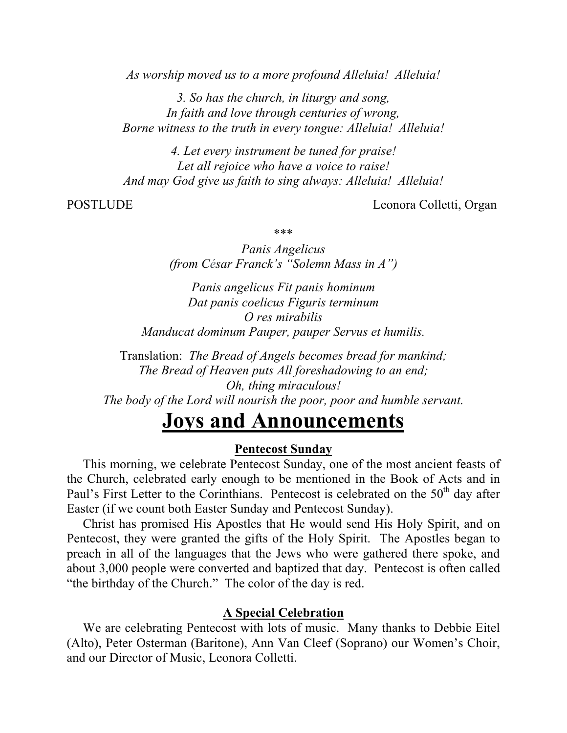*As worship moved us to a more profound Alleluia! Alleluia!*

*3. So has the church, in liturgy and song, In faith and love through centuries of wrong, Borne witness to the truth in every tongue: Alleluia! Alleluia!*

*4. Let every instrument be tuned for praise! Let all rejoice who have a voice to raise! And may God give us faith to sing always: Alleluia! Alleluia!*

POSTLUDE Leonora Colletti, Organ

\*\*\*

*Panis Angelicus (from César Franck's "Solemn Mass in A")*

*Panis angelicus Fit panis hominum Dat panis coelicus Figuris terminum O res mirabilis Manducat dominum Pauper, pauper Servus et humilis.*

Translation: *The Bread of Angels becomes bread for mankind; The Bread of Heaven puts All foreshadowing to an end; Oh, thing miraculous! The body of the Lord will nourish the poor, poor and humble servant.*

# **Joys and Announcements**

#### **Pentecost Sunday**

 This morning, we celebrate Pentecost Sunday, one of the most ancient feasts of the Church, celebrated early enough to be mentioned in the Book of Acts and in Paul's First Letter to the Corinthians. Pentecost is celebrated on the  $50<sup>th</sup>$  day after Easter (if we count both Easter Sunday and Pentecost Sunday).

 Christ has promised His Apostles that He would send His Holy Spirit, and on Pentecost, they were granted the gifts of the Holy Spirit. The Apostles began to preach in all of the languages that the Jews who were gathered there spoke, and about 3,000 people were converted and baptized that day. Pentecost is often called "the birthday of the Church." The color of the day is red.

#### **A Special Celebration**

 We are celebrating Pentecost with lots of music. Many thanks to Debbie Eitel (Alto), Peter Osterman (Baritone), Ann Van Cleef (Soprano) our Women's Choir, and our Director of Music, Leonora Colletti.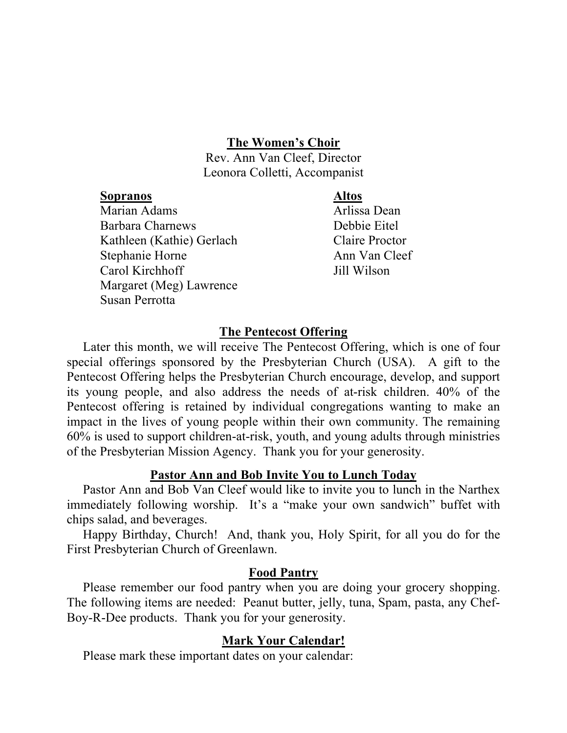#### **The Women's Choir**

Rev. Ann Van Cleef, Director Leonora Colletti, Accompanist

#### **Sopranos Altos**

Marian Adams **Arlissa** Dean Barbara Charnews Debbie Eitel Kathleen (Kathie) Gerlach Claire Proctor Stephanie Horne Ann Van Cleef Carol Kirchhoff Jill Wilson Margaret (Meg) Lawrence Susan Perrotta

# **The Pentecost Offering**

 Later this month, we will receive The Pentecost Offering, which is one of four special offerings sponsored by the Presbyterian Church (USA). A gift to the Pentecost Offering helps the Presbyterian Church encourage, develop, and support its young people, and also address the needs of at-risk children. 40% of the Pentecost offering is retained by individual congregations wanting to make an impact in the lives of young people within their own community. The remaining 60% is used to support children-at-risk, youth, and young adults through ministries of the Presbyterian Mission Agency. Thank you for your generosity.

### **Pastor Ann and Bob Invite You to Lunch Today**

 Pastor Ann and Bob Van Cleef would like to invite you to lunch in the Narthex immediately following worship. It's a "make your own sandwich" buffet with chips salad, and beverages.

 Happy Birthday, Church! And, thank you, Holy Spirit, for all you do for the First Presbyterian Church of Greenlawn.

### **Food Pantry**

 Please remember our food pantry when you are doing your grocery shopping. The following items are needed: Peanut butter, jelly, tuna, Spam, pasta, any Chef-Boy-R-Dee products. Thank you for your generosity.

### **Mark Your Calendar!**

Please mark these important dates on your calendar: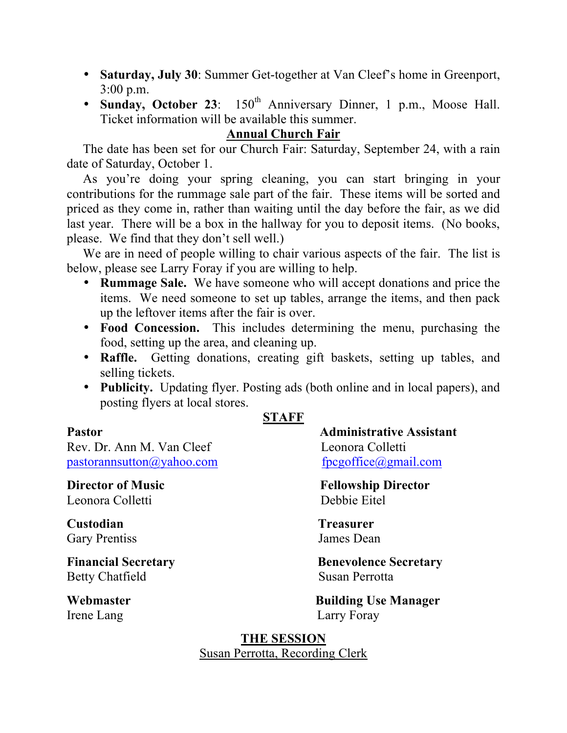- **Saturday, July 30**: Summer Get-together at Van Cleef's home in Greenport, 3:00 p.m.
- Sunday, October 23: 150<sup>th</sup> Anniversary Dinner, 1 p.m., Moose Hall. Ticket information will be available this summer.

# **Annual Church Fair**

 The date has been set for our Church Fair: Saturday, September 24, with a rain date of Saturday, October 1.

 As you're doing your spring cleaning, you can start bringing in your contributions for the rummage sale part of the fair. These items will be sorted and priced as they come in, rather than waiting until the day before the fair, as we did last year. There will be a box in the hallway for you to deposit items. (No books, please. We find that they don't sell well.)

 We are in need of people willing to chair various aspects of the fair. The list is below, please see Larry Foray if you are willing to help.

- **Rummage Sale.** We have someone who will accept donations and price the items. We need someone to set up tables, arrange the items, and then pack up the leftover items after the fair is over.
- **Food Concession.** This includes determining the menu, purchasing the food, setting up the area, and cleaning up.
- **Raffle.** Getting donations, creating gift baskets, setting up tables, and selling tickets.
- **Publicity.** Updating flyer. Posting ads (both online and in local papers), and posting flyers at local stores.

# **STAFF**

Rev. Dr. Ann M. Van Cleef Leonora Colletti pastorannsutton@yahoo.com fpcgoffice@gmail.com

Leonora Colletti Debbie Eitel

**Custodian Treasurer** Gary Prentiss James Dean

Betty Chatfield Susan Perrotta

**Pastor Administrative Assistant** 

**Director of Music Fellowship Director** 

**Financial Secretary Benevolence Secretary** 

**Webmaster Building Use Manager** Irene Lang Larry Foray

> **THE SESSION** Susan Perrotta, Recording Clerk